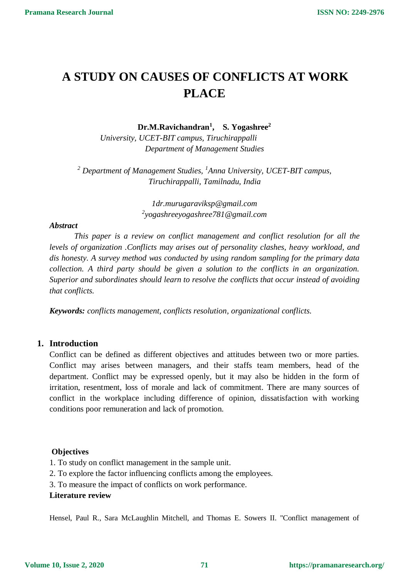# **A STUDY ON CAUSES OF CONFLICTS AT WORK PLACE**

**Dr.M.Ravichandran<sup>1</sup> , S. Yogashree<sup>2</sup>**

 *University, UCET-BIT campus, Tiruchirappalli Department of Management Studies*

*<sup>2</sup> Department of Management Studies, <sup>1</sup>Anna University, UCET-BIT campus, Tiruchirappalli, Tamilnadu, India*

> *1dr.murugaraviksp@gmail.com 2 yogashreeyogashree781@gmail.com*

# *Abstract*

 *This paper is a review on conflict management and conflict resolution for all the levels of organization .Conflicts may arises out of personality clashes, heavy workload, and dis honesty. A survey method was conducted by using random sampling for the primary data collection. A third party should be given a solution to the conflicts in an organization. Superior and subordinates should learn to resolve the conflicts that occur instead of avoiding that conflicts.*

*Keywords: conflicts management, conflicts resolution, organizational conflicts.*

# **1. Introduction**

Conflict can be defined as different objectives and attitudes between two or more parties. Conflict may arises between managers, and their staffs team members, head of the department. Conflict may be expressed openly, but it may also be hidden in the form of irritation, resentment, loss of morale and lack of commitment. There are many sources of conflict in the workplace including difference of opinion, dissatisfaction with working conditions poor remuneration and lack of promotion.

# **Objectives**

1. To study on conflict management in the sample unit.

- 2. To explore the factor influencing conflicts among the employees.
- 3. To measure the impact of conflicts on work performance.

# **Literature review**

Hensel, Paul R., Sara McLaughlin Mitchell, and Thomas E. Sowers II. "Conflict management of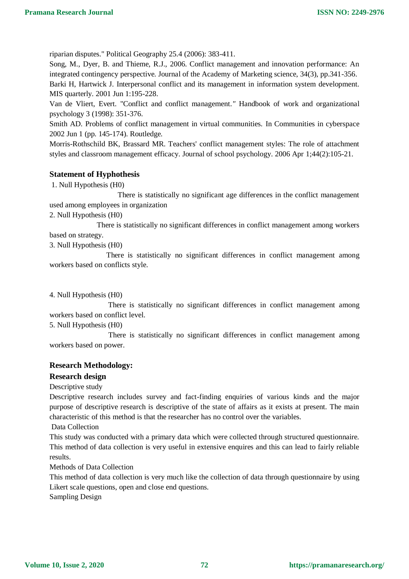riparian disputes." Political Geography 25.4 (2006): 383-411.

Song, M., Dyer, B. and Thieme, R.J., 2006. Conflict management and innovation performance: An integrated contingency perspective. Journal of the Academy of Marketing science, 34(3), pp.341-356. Barki H, Hartwick J. Interpersonal conflict and its management in information system development. MIS quarterly. 2001 Jun 1:195-228.

Van de Vliert, Evert. "Conflict and conflict management*."* Handbook of work and organizational psychology 3 (1998): 351-376.

Smith AD. Problems of conflict management in virtual communities. In Communities in cyberspace 2002 Jun 1 (pp. 145-174). Routledge.

Morris-Rothschild BK, Brassard MR. Teachers' conflict management styles: The role of attachment styles and classroom management efficacy. Journal of school psychology. 2006 Apr 1;44(2):105-21.

#### **Statement of Hyphothesis**

1. Null Hypothesis (H0)

 There is statistically no significant age differences in the conflict management used among employees in organization

2. Null Hypothesis (H0)

 There is statistically no significant differences in conflict management among workers based on strategy.

3. Null Hypothesis (H0)

 There is statistically no significant differences in conflict management among workers based on conflicts style.

4. Null Hypothesis (H0)

 There is statistically no significant differences in conflict management among workers based on conflict level.

5. Null Hypothesis (H0)

 There is statistically no significant differences in conflict management among workers based on power.

## **Research Methodology:**

## **Research design**

Descriptive study

Descriptive research includes survey and fact-finding enquiries of various kinds and the major purpose of descriptive research is descriptive of the state of affairs as it exists at present. The main characteristic of this method is that the researcher has no control over the variables.

Data Collection

This study was conducted with a primary data which were collected through structured questionnaire. This method of data collection is very useful in extensive enquires and this can lead to fairly reliable results.

Methods of Data Collection

This method of data collection is very much like the collection of data through questionnaire by using Likert scale questions, open and close end questions.

Sampling Design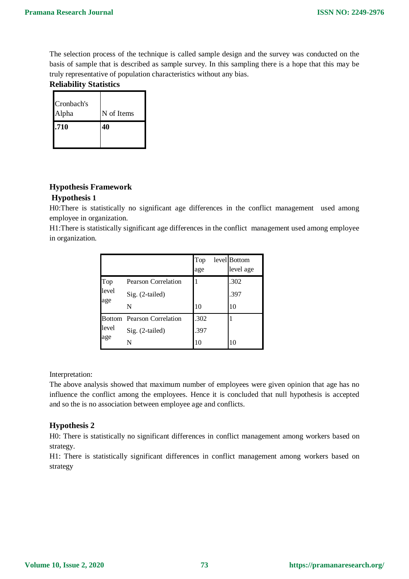The selection process of the technique is called sample design and the survey was conducted on the basis of sample that is described as sample survey. In this sampling there is a hope that this may be truly representative of population characteristics without any bias.

## **Reliability Statistics**

| Cronbach's<br>Alpha | N of Items |
|---------------------|------------|
| .710                | 40         |

# **Hypothesis Framework Hypothesis 1**

H0:There is statistically no significant age differences in the conflict management used among employee in organization.

H1:There is statistically significant age differences in the conflict management used among employee in organization.

|                     |                            | Top<br>age | level Bottom<br>level age |
|---------------------|----------------------------|------------|---------------------------|
| Top<br>level<br>age | Pearson Correlation        |            | .302                      |
|                     | Sig. (2-tailed)            |            | .397                      |
|                     | N                          | 10         | 10                        |
| level<br>age        | Bottom Pearson Correlation | .302       |                           |
|                     | Sig. (2-tailed)            | .397       |                           |
|                     | N                          | 10         | 10                        |

#### Interpretation:

The above analysis showed that maximum number of employees were given opinion that age has no influence the conflict among the employees. Hence it is concluded that null hypothesis is accepted and so the is no association between employee age and conflicts.

# **Hypothesis 2**

H0: There is statistically no significant differences in conflict management among workers based on strategy.

H1: There is statistically significant differences in conflict management among workers based on strategy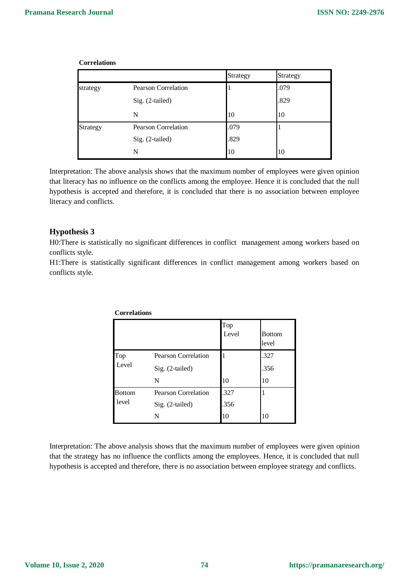|          |                            | Strategy | Strategy |  |
|----------|----------------------------|----------|----------|--|
| strategy | Pearson Correlation        |          | .079     |  |
|          | Sig. (2-tailed)            |          | .829     |  |
|          | N                          | 10       | 10       |  |
| Strategy | <b>Pearson Correlation</b> | .079     |          |  |
|          | Sig. (2-tailed)            | .829     |          |  |
|          | N                          | 10       | 10       |  |

**Correlations**

Interpretation: The above analysis shows that the maximum number of employees were given opinion that literacy has no influence on the conflicts among the employee. Hence it is concluded that the null hypothesis is accepted and therefore, it is concluded that there is no association between employee literacy and conflicts.

## **Hypothesis 3**

H0:There is statistically no significant differences in conflict management among workers based on conflicts style.

H1:There is statistically significant differences in conflict management among workers based on conflicts style.

|               |                            | Top<br>Level | <b>Bottom</b><br>level |
|---------------|----------------------------|--------------|------------------------|
| Top           | <b>Pearson Correlation</b> |              | .327                   |
| Level         | Sig. (2-tailed)            |              | .356                   |
|               | N                          | 10           | 10                     |
| <b>Bottom</b> | <b>Pearson Correlation</b> | .327         |                        |
| level         | Sig. (2-tailed)            | .356         |                        |
|               | N                          | 10           | 10                     |

**Correlations**

Interpretation: The above analysis shows that the maximum number of employees were given opinion that the strategy has no influence the conflicts among the employees. Hence, it is concluded that null hypothesis is accepted and therefore, there is no association between employee strategy and conflicts.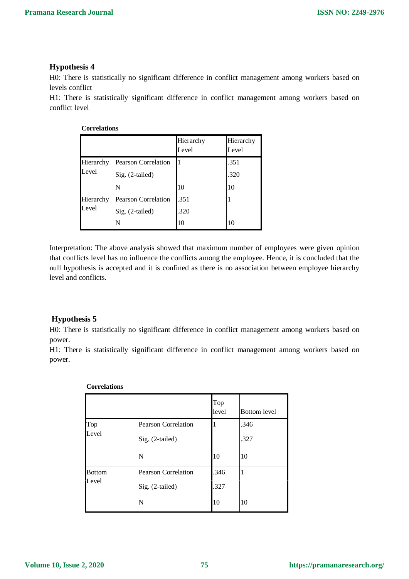## **Hypothesis 4**

H0: There is statistically no significant difference in conflict management among workers based on levels conflict

H1: There is statistically significant difference in conflict management among workers based on conflict level

## **Correlations**

|                    |                     | Hierarchy<br>Level | Hierarchy<br>Level |
|--------------------|---------------------|--------------------|--------------------|
| Hierarchy<br>Level | Pearson Correlation |                    | .351               |
|                    | $Sig. (2-tailed)$   |                    | .320               |
|                    | N                   | 10                 | 10                 |
| Hierarchy<br>Level | Pearson Correlation | .351               |                    |
|                    | $Sig. (2-tailed)$   | .320               |                    |
|                    | N                   | 10                 | 10                 |

Interpretation: The above analysis showed that maximum number of employees were given opinion that conflicts level has no influence the conflicts among the employee. Hence, it is concluded that the null hypothesis is accepted and it is confined as there is no association between employee hierarchy level and conflicts.

# **Hypothesis 5**

H0: There is statistically no significant difference in conflict management among workers based on power.

H1: There is statistically significant difference in conflict management among workers based on power.

|                        |                                               | Top<br>level | <b>Bottom</b> level |
|------------------------|-----------------------------------------------|--------------|---------------------|
| Top<br>Level           | <b>Pearson Correlation</b><br>Sig. (2-tailed) |              | .346<br>.327        |
|                        | N                                             | 10           | 10                  |
| <b>Bottom</b><br>Level | <b>Pearson Correlation</b><br>Sig. (2-tailed) | .346<br>.327 |                     |
|                        | N                                             | 10           | 10                  |